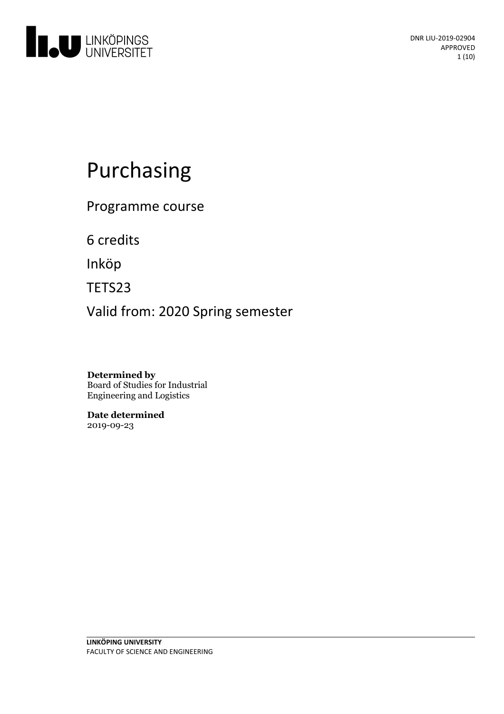

# Purchasing

Programme course

6 credits

Inköp

TETS23

Valid from: 2020 Spring semester

**Determined by** Board of Studies for Industrial Engineering and Logistics

**Date determined** 2019-09-23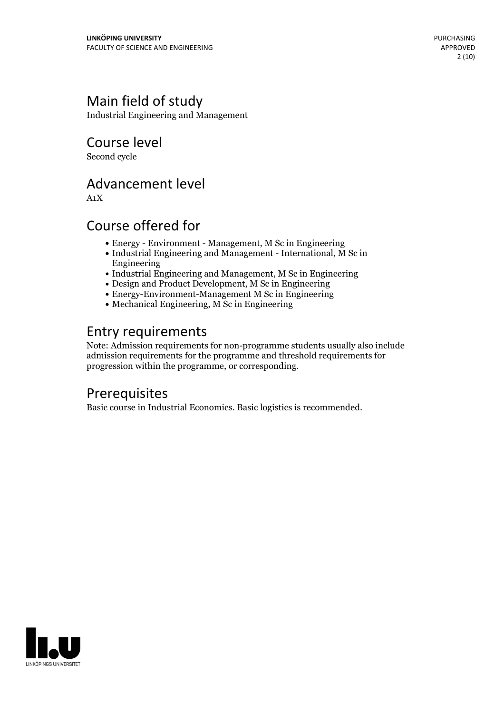# Main field of study

Industrial Engineering and Management

Course level

Second cycle

### Advancement level

A1X

# Course offered for

- Energy Environment Management, M Sc in Engineering
- Industrial Engineering and Management International, M Sc in Engineering
- Industrial Engineering and Management, M Sc in Engineering
- Design and Product Development, M Sc in Engineering
- Energy-Environment-Management M Sc in Engineering
- Mechanical Engineering, M Sc in Engineering

# Entry requirements

Note: Admission requirements for non-programme students usually also include admission requirements for the programme and threshold requirements for progression within the programme, or corresponding.

# **Prerequisites**

Basic course in Industrial Economics. Basic logistics is recommended.

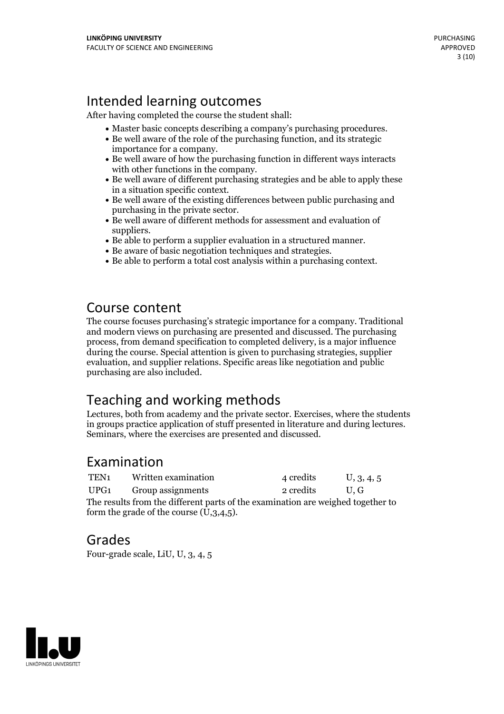# Intended learning outcomes

After having completed the course the student shall:

- 
- Master basic concepts describing <sup>a</sup> company's purchasing procedures. Be well aware ofthe role of the purchasing function, and its strategic
- importance for a company.<br>• Be well aware of how the purchasing function in different ways interacts
- with other functions in the company.<br>• Be well aware of different purchasing strategies and be able to apply these
- in a situation specific context.<br>• Be well aware of the existing differences between public purchasing and purchasing in the private sector.
- $\bullet$  Be well aware of different methods for assessment and evaluation of
- suppliers. Be able to perform <sup>a</sup> supplier evaluation in <sup>a</sup> structured manner. Be aware of basic negotiation techniques and strategies. Be able to perform <sup>a</sup> total cost analysis within <sup>a</sup> purchasing context.
- 
- 

### Course content

The course focuses purchasing's strategic importance for a company. Traditional and modern views on purchasing are presented and discussed. The purchasing process, from demand specification to completed delivery, is a major influence during the course. Special attention is given to purchasing strategies, supplier evaluation, and supplier relations. Specific areas like negotiation and public purchasing are also included.

# Teaching and working methods

Lectures, both from academy and the private sector. Exercises, where the students in groups practice application of stuff presented in literature and during lectures. Seminars, where the exercises are presented and discussed.

### Examination

| TEN <sub>1</sub> | Written examination                                                                                            | 4 credits | U, 3, 4, 5 |
|------------------|----------------------------------------------------------------------------------------------------------------|-----------|------------|
| UPG1             | Group assignments                                                                                              | 2 credits | U.G        |
|                  | main and the case of the contract of the contract of the contract of the contract of the contract of the contr |           |            |

The results from the different parts of the examination are weighed together to form the grade of the course  $(U,3,4,5)$ .

### Grades

Four-grade scale, LiU, U, 3, 4, 5

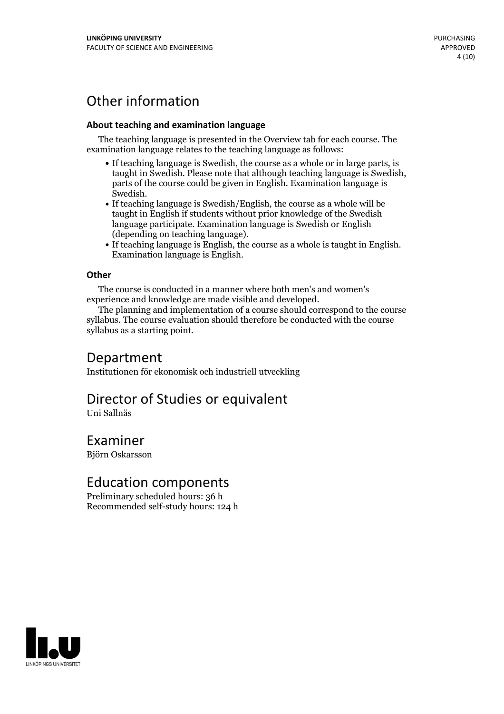# Other information

#### **About teaching and examination language**

The teaching language is presented in the Overview tab for each course. The examination language relates to the teaching language as follows:

- If teaching language is Swedish, the course as a whole or in large parts, is taught in Swedish. Please note that although teaching language is Swedish, parts of the course could be given in English. Examination language is
- Swedish.<br>• If teaching language is Swedish/English, the course as a whole will be taught in English if students without prior knowledge of the Swedish language participate. Examination language is Swedish or English
- (depending on teaching language).<br>
 If teaching language is English, the course as a whole is taught in English.<br>
Examination language is English.

#### **Other**

The course is conducted in a manner where both men's and women's

experience and knowledge are made visible and developed. The planning and implementation of <sup>a</sup> course should correspond to the course syllabus. The course evaluation should therefore be conducted with the course syllabus as a starting point.

### Department

Institutionen för ekonomisk och industriell utveckling

# Director of Studies or equivalent

Uni Sallnäs

# Examiner

Björn Oskarsson

### Education components

Preliminary scheduled hours: 36 h Recommended self-study hours: 124 h

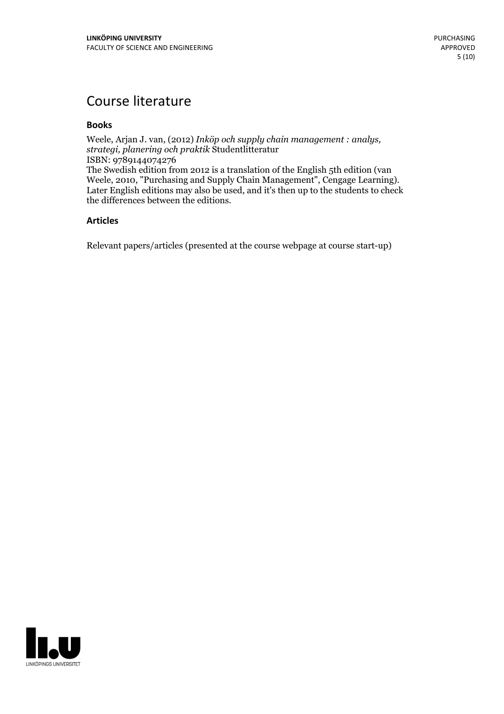# Course literature

#### **Books**

Weele, Arjan J. van, (2012) *Inköp och supply chain management : analys, strategi, planering och praktik* Studentlitteratur ISBN: 9789144074276 The Swedish edition from 2012 is a translation of the English 5th edition (van Weele, 2010, "Purchasing and Supply Chain Management", Cengage Learning). Later English editions may also be used, and it's then up to the students to check the differences between the editions.

#### **Articles**

Relevant papers/articles (presented at the course webpage at course start-up)

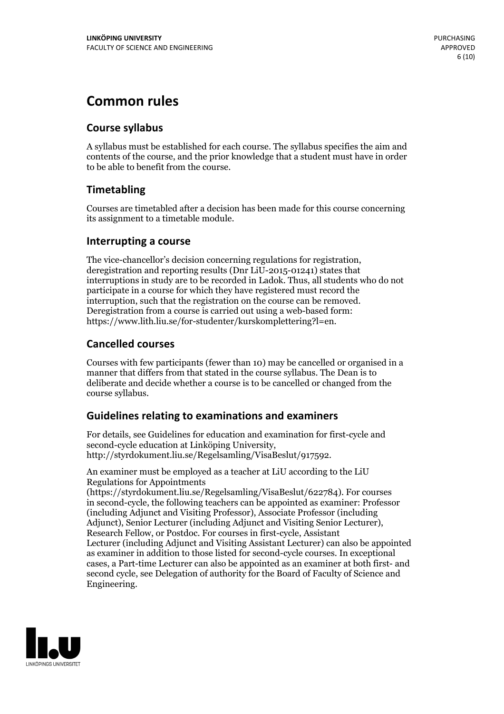# **Common rules**

### **Course syllabus**

A syllabus must be established for each course. The syllabus specifies the aim and contents of the course, and the prior knowledge that a student must have in order to be able to benefit from the course.

### **Timetabling**

Courses are timetabled after a decision has been made for this course concerning its assignment to a timetable module.

### **Interrupting a course**

The vice-chancellor's decision concerning regulations for registration, deregistration and reporting results (Dnr LiU-2015-01241) states that interruptions in study are to be recorded in Ladok. Thus, all students who do not participate in a course for which they have registered must record the interruption, such that the registration on the course can be removed. Deregistration from <sup>a</sup> course is carried outusing <sup>a</sup> web-based form: https://www.lith.liu.se/for-studenter/kurskomplettering?l=en.

### **Cancelled courses**

Courses with few participants (fewer than 10) may be cancelled or organised in a manner that differs from that stated in the course syllabus. The Dean is to deliberate and decide whether a course is to be cancelled or changed from the course syllabus.

### **Guidelines relatingto examinations and examiners**

For details, see Guidelines for education and examination for first-cycle and second-cycle education at Linköping University, http://styrdokument.liu.se/Regelsamling/VisaBeslut/917592.

An examiner must be employed as a teacher at LiU according to the LiU Regulations for Appointments

(https://styrdokument.liu.se/Regelsamling/VisaBeslut/622784). For courses in second-cycle, the following teachers can be appointed as examiner: Professor (including Adjunct and Visiting Professor), Associate Professor (including Adjunct), Senior Lecturer (including Adjunct and Visiting Senior Lecturer), Research Fellow, or Postdoc. For courses in first-cycle, Assistant Lecturer (including Adjunct and Visiting Assistant Lecturer) can also be appointed as examiner in addition to those listed for second-cycle courses. In exceptional cases, a Part-time Lecturer can also be appointed as an examiner at both first- and second cycle, see Delegation of authority for the Board of Faculty of Science and Engineering.

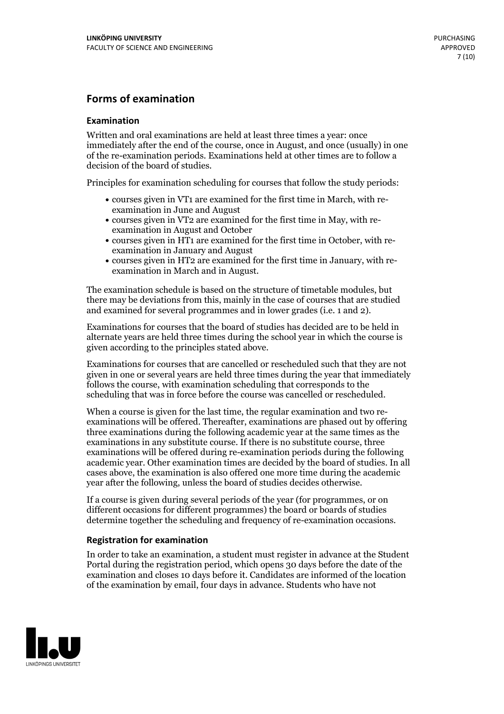### **Forms of examination**

#### **Examination**

Written and oral examinations are held at least three times a year: once immediately after the end of the course, once in August, and once (usually) in one of the re-examination periods. Examinations held at other times are to follow a decision of the board of studies.

Principles for examination scheduling for courses that follow the study periods:

- courses given in VT1 are examined for the first time in March, with re-examination in June and August
- courses given in VT2 are examined for the first time in May, with re-examination in August and October
- courses given in HT1 are examined for the first time in October, with re-examination in January and August
- courses given in HT2 are examined for the first time in January, with re-examination in March and in August.

The examination schedule is based on the structure of timetable modules, but there may be deviations from this, mainly in the case of courses that are studied and examined for several programmes and in lower grades (i.e. 1 and 2).

Examinations for courses that the board of studies has decided are to be held in alternate years are held three times during the school year in which the course is given according to the principles stated above.

Examinations for courses that are cancelled orrescheduled such that they are not given in one or several years are held three times during the year that immediately follows the course, with examination scheduling that corresponds to the scheduling that was in force before the course was cancelled or rescheduled.

When a course is given for the last time, the regular examination and two re-<br>examinations will be offered. Thereafter, examinations are phased out by offering three examinations during the following academic year at the same times as the examinations in any substitute course. If there is no substitute course, three examinations will be offered during re-examination periods during the following academic year. Other examination times are decided by the board of studies. In all cases above, the examination is also offered one more time during the academic year after the following, unless the board of studies decides otherwise.

If a course is given during several periods of the year (for programmes, or on different occasions for different programmes) the board or boards of studies determine together the scheduling and frequency of re-examination occasions.

#### **Registration for examination**

In order to take an examination, a student must register in advance at the Student Portal during the registration period, which opens 30 days before the date of the examination and closes 10 days before it. Candidates are informed of the location of the examination by email, four days in advance. Students who have not

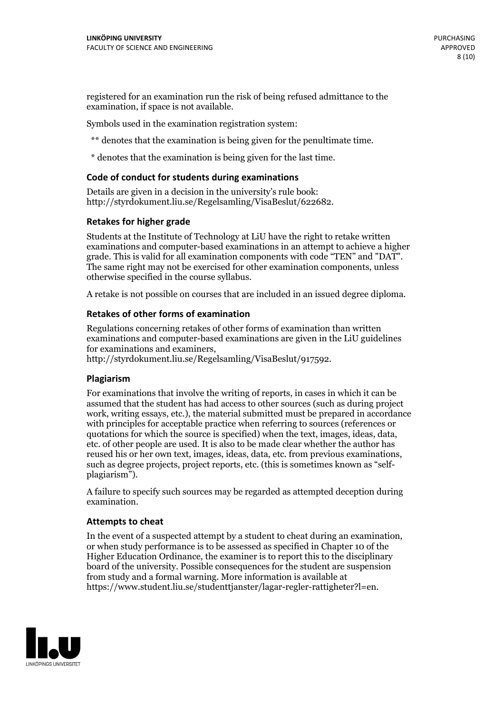registered for an examination run the risk of being refused admittance to the examination, if space is not available.

Symbols used in the examination registration system:

\*\* denotes that the examination is being given for the penultimate time.

\* denotes that the examination is being given for the last time.

#### **Code of conduct for students during examinations**

Details are given in a decision in the university's rule book: http://styrdokument.liu.se/Regelsamling/VisaBeslut/622682.

#### **Retakes for higher grade**

Students at the Institute of Technology at LiU have the right to retake written examinations and computer-based examinations in an attempt to achieve a higher grade. This is valid for all examination components with code "TEN" and "DAT". The same right may not be exercised for other examination components, unless otherwise specified in the course syllabus.

A retake is not possible on courses that are included in an issued degree diploma.

#### **Retakes of other forms of examination**

Regulations concerning retakes of other forms of examination than written examinations and computer-based examinations are given in the LiU guidelines

http://styrdokument.liu.se/Regelsamling/VisaBeslut/917592.

#### **Plagiarism**

For examinations that involve the writing of reports, in cases in which it can be assumed that the student has had access to other sources (such as during project work, writing essays, etc.), the material submitted must be prepared in accordance with principles for acceptable practice when referring to sources (references or quotations for which the source is specified) when the text, images, ideas, data,  $\vec{e}$  etc. of other people are used. It is also to be made clear whether the author has reused his or her own text, images, ideas, data, etc. from previous examinations, such as degree projects, project reports, etc. (this is sometimes known as "self- plagiarism").

A failure to specify such sources may be regarded as attempted deception during examination.

#### **Attempts to cheat**

In the event of <sup>a</sup> suspected attempt by <sup>a</sup> student to cheat during an examination, or when study performance is to be assessed as specified in Chapter <sup>10</sup> of the Higher Education Ordinance, the examiner is to report this to the disciplinary board of the university. Possible consequences for the student are suspension from study and a formal warning. More information is available at https://www.student.liu.se/studenttjanster/lagar-regler-rattigheter?l=en.

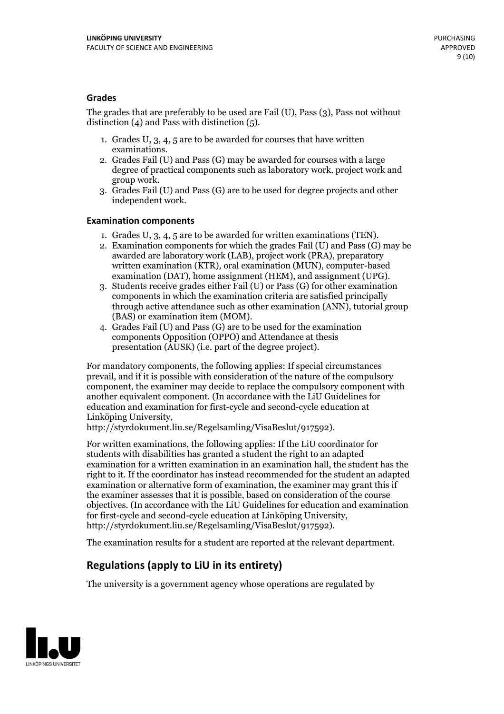#### **Grades**

The grades that are preferably to be used are Fail (U), Pass (3), Pass not without distinction  $(4)$  and Pass with distinction  $(5)$ .

- 1. Grades U, 3, 4, 5 are to be awarded for courses that have written
- examinations. 2. Grades Fail (U) and Pass (G) may be awarded for courses with <sup>a</sup> large degree of practical components such as laboratory work, project work and group work. 3. Grades Fail (U) and Pass (G) are to be used for degree projects and other
- independent work.

#### **Examination components**

- 
- 1. Grades U, 3, 4, <sup>5</sup> are to be awarded for written examinations (TEN). 2. Examination components for which the grades Fail (U) and Pass (G) may be awarded are laboratory work (LAB), project work (PRA), preparatory written examination (KTR), oral examination (MUN), computer-based
- examination (DAT), home assignment (HEM), and assignment (UPG). 3. Students receive grades either Fail (U) or Pass (G) for other examination components in which the examination criteria are satisfied principally through active attendance such as other examination (ANN), tutorial group (BAS) or examination item (MOM). 4. Grades Fail (U) and Pass (G) are to be used for the examination
- components Opposition (OPPO) and Attendance at thesis presentation (AUSK) (i.e. part of the degree project).

For mandatory components, the following applies: If special circumstances prevail, and if it is possible with consideration of the nature of the compulsory component, the examiner may decide to replace the compulsory component with another equivalent component. (In accordance with the LiU Guidelines for education and examination for first-cycle and second-cycle education at Linköping University, http://styrdokument.liu.se/Regelsamling/VisaBeslut/917592).

For written examinations, the following applies: If the LiU coordinator for students with disabilities has granted a student the right to an adapted examination for a written examination in an examination hall, the student has the right to it. If the coordinator has instead recommended for the student an adapted examination or alternative form of examination, the examiner may grant this if the examiner assesses that it is possible, based on consideration of the course objectives. (In accordance with the LiU Guidelines for education and examination for first-cycle and second-cycle education at Linköping University, http://styrdokument.liu.se/Regelsamling/VisaBeslut/917592).

The examination results for a student are reported at the relevant department.

### **Regulations (applyto LiU in its entirety)**

The university is a government agency whose operations are regulated by